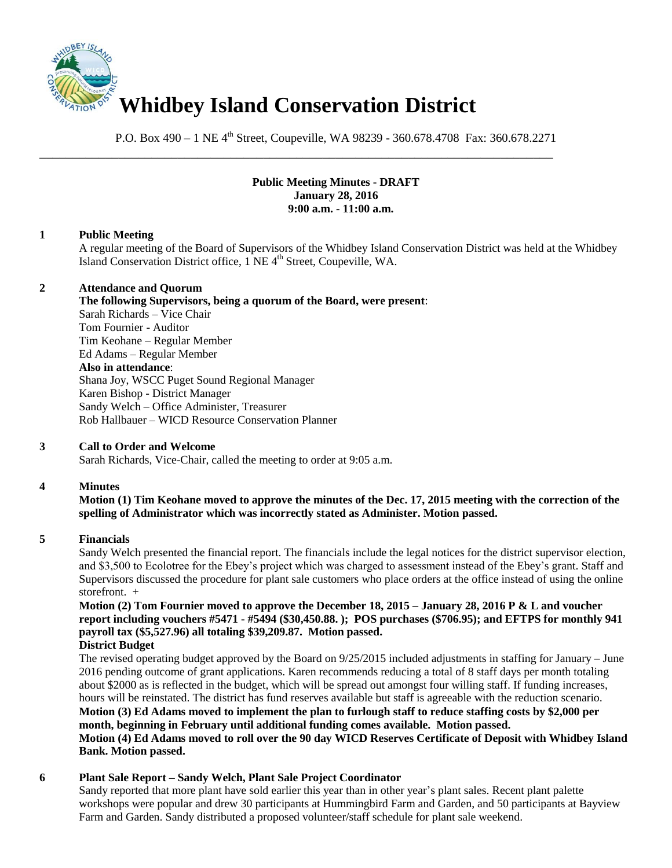

P.O. Box 490 – 1 NE 4<sup>th</sup> Street, Coupeville, WA 98239 - 360.678.4708 Fax: 360.678.2271

\_\_\_\_\_\_\_\_\_\_\_\_\_\_\_\_\_\_\_\_\_\_\_\_\_\_\_\_\_\_\_\_\_\_\_\_\_\_\_\_\_\_\_\_\_\_\_\_\_\_\_\_\_\_\_\_\_\_\_\_\_\_\_\_\_\_\_\_\_\_\_\_\_\_\_\_\_\_

# **Public Meeting Minutes - DRAFT January 28, 2016 9:00 a.m. - 11:00 a.m.**

### **1 Public Meeting**

A regular meeting of the Board of Supervisors of the Whidbey Island Conservation District was held at the Whidbey Island Conservation District office, 1 NE 4<sup>th</sup> Street, Coupeville, WA.

# **2 Attendance and Quorum**

**The following Supervisors, being a quorum of the Board, were present**: Sarah Richards – Vice Chair Tom Fournier - Auditor Tim Keohane – Regular Member Ed Adams – Regular Member **Also in attendance**: Shana Joy, WSCC Puget Sound Regional Manager Karen Bishop - District Manager Sandy Welch – Office Administer, Treasurer Rob Hallbauer – WICD Resource Conservation Planner

# **3 Call to Order and Welcome**

Sarah Richards, Vice-Chair, called the meeting to order at 9:05 a.m.

#### **4 Minutes**

**Motion (1) Tim Keohane moved to approve the minutes of the Dec. 17, 2015 meeting with the correction of the spelling of Administrator which was incorrectly stated as Administer. Motion passed.** 

#### **5 Financials**

Sandy Welch presented the financial report. The financials include the legal notices for the district supervisor election, and \$3,500 to Ecolotree for the Ebey's project which was charged to assessment instead of the Ebey's grant. Staff and Supervisors discussed the procedure for plant sale customers who place orders at the office instead of using the online storefront. +

# **Motion (2) Tom Fournier moved to approve the December 18, 2015 – January 28, 2016 P & L and voucher report including vouchers #5471 - #5494 (\$30,450.88. ); POS purchases (\$706.95); and EFTPS for monthly 941 payroll tax (\$5,527.96) all totaling \$39,209.87. Motion passed.**

**District Budget** 

The revised operating budget approved by the Board on 9/25/2015 included adjustments in staffing for January – June 2016 pending outcome of grant applications. Karen recommends reducing a total of 8 staff days per month totaling about \$2000 as is reflected in the budget, which will be spread out amongst four willing staff. If funding increases, hours will be reinstated. The district has fund reserves available but staff is agreeable with the reduction scenario. **Motion (3) Ed Adams moved to implement the plan to furlough staff to reduce staffing costs by \$2,000 per** 

# **month, beginning in February until additional funding comes available. Motion passed.**

### **Motion (4) Ed Adams moved to roll over the 90 day WICD Reserves Certificate of Deposit with Whidbey Island Bank. Motion passed.**

# **6 Plant Sale Report – Sandy Welch, Plant Sale Project Coordinator**

Sandy reported that more plant have sold earlier this year than in other year's plant sales. Recent plant palette workshops were popular and drew 30 participants at Hummingbird Farm and Garden, and 50 participants at Bayview Farm and Garden. Sandy distributed a proposed volunteer/staff schedule for plant sale weekend.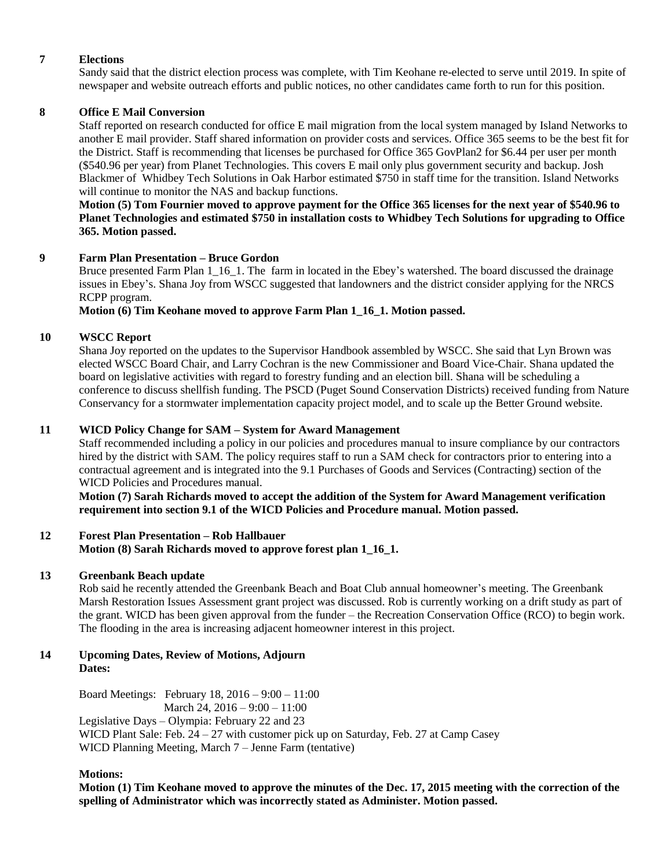# **7 Elections**

Sandy said that the district election process was complete, with Tim Keohane re-elected to serve until 2019. In spite of newspaper and website outreach efforts and public notices, no other candidates came forth to run for this position.

# **8 Office E Mail Conversion**

Staff reported on research conducted for office E mail migration from the local system managed by Island Networks to another E mail provider. Staff shared information on provider costs and services. Office 365 seems to be the best fit for the District. Staff is recommending that licenses be purchased for Office 365 GovPlan2 for \$6.44 per user per month (\$540.96 per year) from Planet Technologies. This covers E mail only plus government security and backup. Josh Blackmer of Whidbey Tech Solutions in Oak Harbor estimated \$750 in staff time for the transition. Island Networks will continue to monitor the NAS and backup functions.

### **Motion (5) Tom Fournier moved to approve payment for the Office 365 licenses for the next year of \$540.96 to Planet Technologies and estimated \$750 in installation costs to Whidbey Tech Solutions for upgrading to Office 365. Motion passed.**

#### **9 Farm Plan Presentation – Bruce Gordon**

Bruce presented Farm Plan 1\_16\_1. The farm in located in the Ebey's watershed. The board discussed the drainage issues in Ebey's. Shana Joy from WSCC suggested that landowners and the district consider applying for the NRCS RCPP program.

### **Motion (6) Tim Keohane moved to approve Farm Plan 1\_16\_1. Motion passed.**

# **10 WSCC Report**

Shana Joy reported on the updates to the Supervisor Handbook assembled by WSCC. She said that Lyn Brown was elected WSCC Board Chair, and Larry Cochran is the new Commissioner and Board Vice-Chair. Shana updated the board on legislative activities with regard to forestry funding and an election bill. Shana will be scheduling a conference to discuss shellfish funding. The PSCD (Puget Sound Conservation Districts) received funding from Nature Conservancy for a stormwater implementation capacity project model, and to scale up the Better Ground website.

# **11 WICD Policy Change for SAM – System for Award Management**

Staff recommended including a policy in our policies and procedures manual to insure compliance by our contractors hired by the district with SAM. The policy requires staff to run a SAM check for contractors prior to entering into a contractual agreement and is integrated into the 9.1 Purchases of Goods and Services (Contracting) section of the WICD Policies and Procedures manual.

**Motion (7) Sarah Richards moved to accept the addition of the System for Award Management verification requirement into section 9.1 of the WICD Policies and Procedure manual. Motion passed.** 

#### **12 Forest Plan Presentation – Rob Hallbauer Motion (8) Sarah Richards moved to approve forest plan 1\_16\_1.**

# **13 Greenbank Beach update**

Rob said he recently attended the Greenbank Beach and Boat Club annual homeowner's meeting. The Greenbank Marsh Restoration Issues Assessment grant project was discussed. Rob is currently working on a drift study as part of the grant. WICD has been given approval from the funder – the Recreation Conservation Office (RCO) to begin work. The flooding in the area is increasing adjacent homeowner interest in this project.

#### **14 Upcoming Dates, Review of Motions, Adjourn Dates:**

Board Meetings: February 18, 2016 – 9:00 – 11:00 March 24, 2016 – 9:00 – 11:00 Legislative Days – Olympia: February 22 and 23 WICD Plant Sale: Feb.  $24 - 27$  with customer pick up on Saturday, Feb. 27 at Camp Casey WICD Planning Meeting, March 7 – Jenne Farm (tentative)

#### **Motions:**

**Motion (1) Tim Keohane moved to approve the minutes of the Dec. 17, 2015 meeting with the correction of the spelling of Administrator which was incorrectly stated as Administer. Motion passed.**